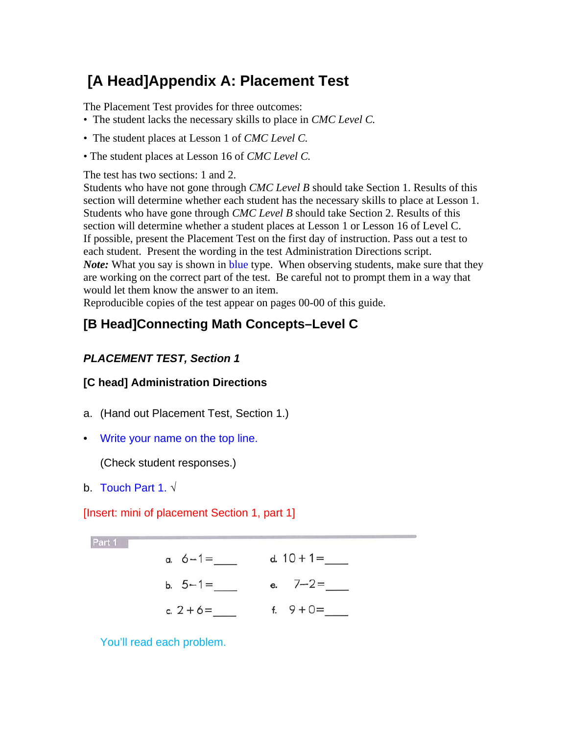# **[A Head]Appendix A: Placement Test**

The Placement Test provides for three outcomes:

- The student lacks the necessary skills to place in *CMC Level C.*
- The student places at Lesson 1 of *CMC Level C.*
- The student places at Lesson 16 of *CMC Level C.*

The test has two sections: 1 and 2.

Students who have not gone through *CMC Level B* should take Section 1. Results of this section will determine whether each student has the necessary skills to place at Lesson 1. Students who have gone through *CMC Level B* should take Section 2. Results of this section will determine whether a student places at Lesson 1 or Lesson 16 of Level C. If possible, present the Placement Test on the first day of instruction. Pass out a test to each student. Present the wording in the test Administration Directions script. *Note:* What you say is shown in **blue** type. When observing students, make sure that they are working on the correct part of the test. Be careful not to prompt them in a way that would let them know the answer to an item.

Reproducible copies of the test appear on pages 00-00 of this guide.

# **[B Head]Connecting Math Concepts–Level C**

#### *PLACEMENT TEST, Section 1*

#### **[C head] Administration Directions**

- a. (Hand out Placement Test, Section 1.)
- Write your name on the top line.

(Check student responses.)

b. Touch Part 1. √

[Insert: mini of placement Section 1, part 1]

Part 1

| a. $6 - 1 =$ | d. $10 + 1 =$ |
|--------------|---------------|
| b. $5 - 1 =$ | e. $7-2=$     |
| c. $2 + 6 =$ | f. $9 + 0 =$  |

You'll read each problem.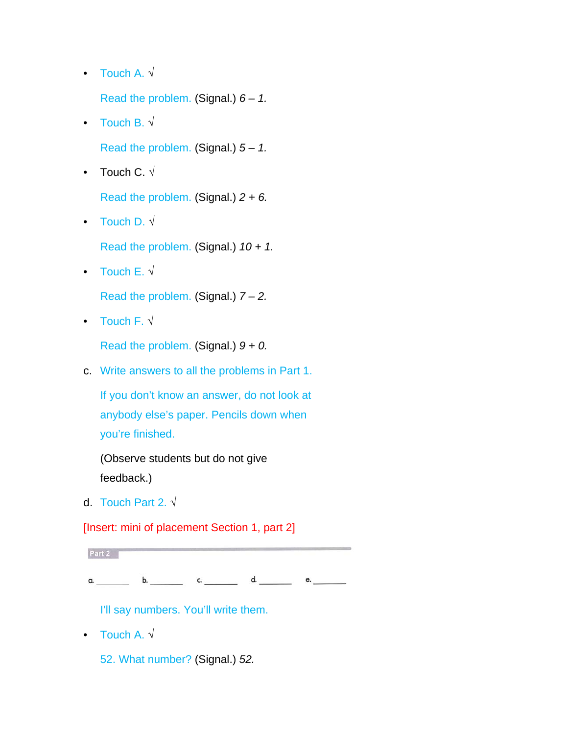- Touch A. √ Read the problem. (Signal.) *6 – 1.*
- Touch B. √

Read the problem. (Signal.) *5 – 1.*

• Touch C.  $\sqrt{ }$ 

Read the problem. (Signal.) *2 + 6.*

• Touch D.  $\sqrt{ }$ 

Read the problem. (Signal.) *10 + 1.*

• Touch E.  $\sqrt{ }$ 

Read the problem. (Signal.) *7 – 2.*

• Touch F. √

Read the problem. (Signal.) *9 + 0.*

c. Write answers to all the problems in Part 1.

If you don't know an answer, do not look at anybody else's paper. Pencils down when you're finished.

(Observe students but do not give feedback.)

d. Touch Part 2. √

[Insert: mini of placement Section 1, part 2]

Part 2

a. b. c. d. e.

I'll say numbers. You'll write them.

• Touch A. √

52. What number? (Signal.) *52.*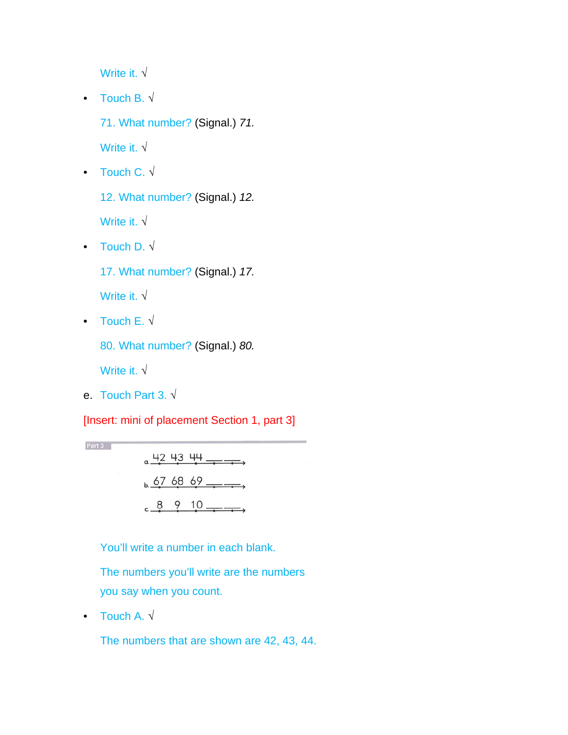Write it. √

• Touch B. √

71. What number? (Signal.) *71.*

Write it. √

• Touch C. √

12. What number? (Signal.) *12.*

Write it. √

• Touch D. √

17. What number? (Signal.) *17.*

Write it. √

• Touch  $E \cdot \sqrt{ }$ 

80. What number? (Signal.) *80.*

Write it. √

Part 3

e. Touch Part 3. √

[Insert: mini of placement Section 1, part 3]



You'll write a number in each blank.

 The numbers you'll write are the numbers you say when you count.

• Touch A.  $\sqrt{ }$ 

The numbers that are shown are 42, 43, 44.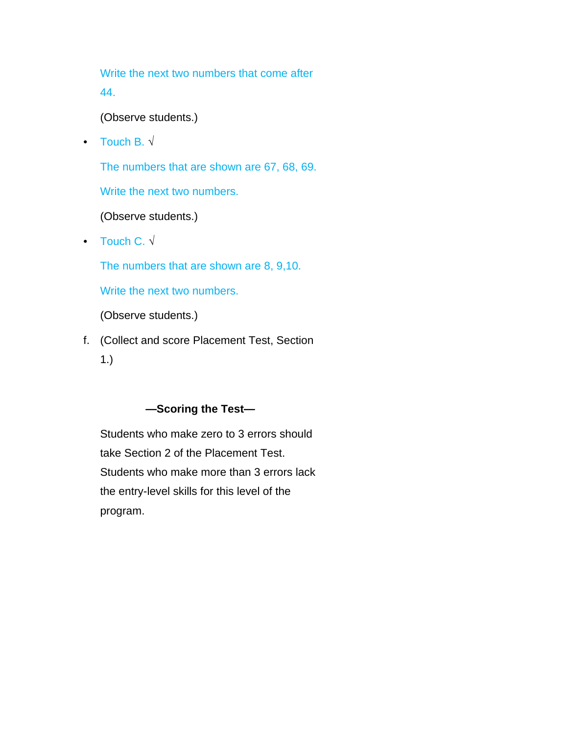Write the next two numbers that come after 44.

(Observe students.)

• Touch B. √

The numbers that are shown are 67, 68, 69.

Write the next two numbers.

(Observe students.)

• Touch C. √

The numbers that are shown are 8, 9,10.

Write the next two numbers.

(Observe students.)

f. (Collect and score Placement Test, Section 1.)

#### **—Scoring the Test—**

 Students who make zero to 3 errors should take Section 2 of the Placement Test. Students who make more than 3 errors lack the entry-level skills for this level of the program.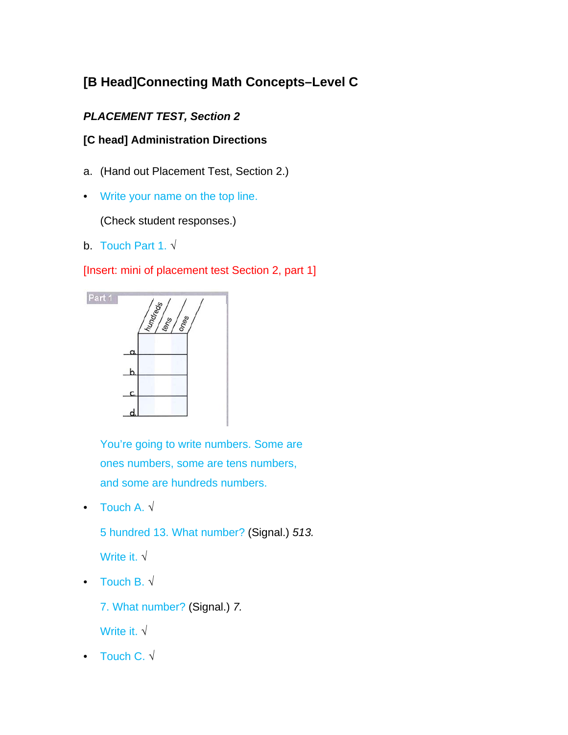# **[B Head]Connecting Math Concepts–Level C**

### *PLACEMENT TEST, Section 2*

#### **[C head] Administration Directions**

- a. (Hand out Placement Test, Section 2.)
- Write your name on the top line.

(Check student responses.)

b. Touch Part 1. √

[Insert: mini of placement test Section 2, part 1]



You're going to write numbers. Some are ones numbers, some are tens numbers, and some are hundreds numbers.

• Touch A.  $\sqrt{ }$ 

5 hundred 13. What number? (Signal.) *513.*

Write it. √

• Touch B. √

7. What number? (Signal.) *7.*

Write it. √

• Touch C. √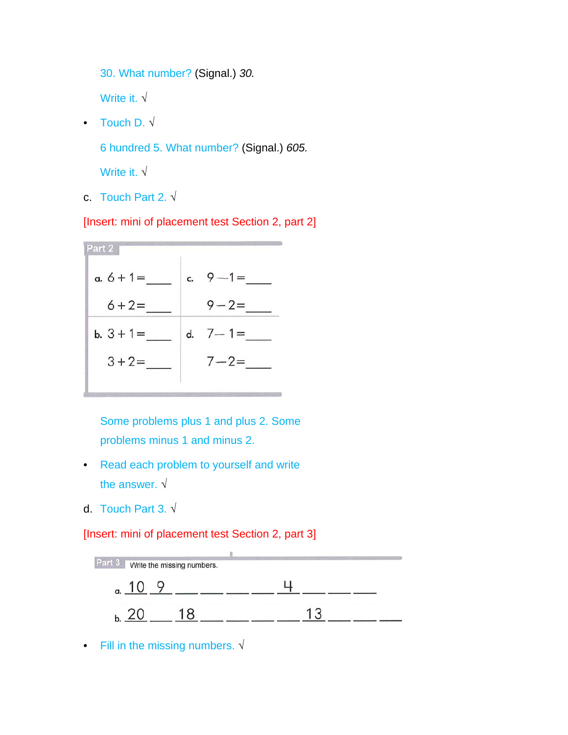30. What number? (Signal.) *30.*

Write it. √

• Touch D. √

6 hundred 5. What number? (Signal.) *605.*

Write it. √

c. Touch Part 2. √

[Insert: mini of placement test Section 2, part 2]

| Part 2       |    |           |
|--------------|----|-----------|
| $a. 6 + 1 =$ | C. | $9 - 1 =$ |
| $6 + 2 =$    |    | $9 - 2 =$ |
| $b. 3 + 1 =$ | d. | $7 - 1 =$ |
| $3 + 2 =$    |    | $7 - 2 =$ |
|              |    |           |

Some problems plus 1 and plus 2. Some problems minus 1 and minus 2.

- Read each problem to yourself and write the answer. √
- d. Touch Part 3. √

[Insert: mini of placement test Section 2, part 3]



• Fill in the missing numbers. √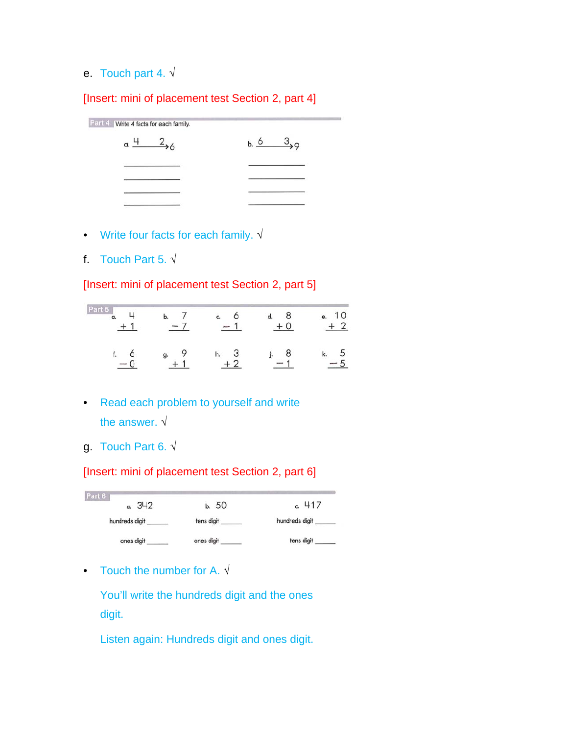### e. Touch part 4. √

[Insert: mini of placement test Section 2, part 4]

Part 4 Write 4 facts for each family.  $a. \frac{4}{26}$  $6 \t 3$ 

- Write four facts for each family. √
- f. Touch Part 5.  $\sqrt{ }$

[Insert: mini of placement test Section 2, part 5]

| Pa<br>71 S<br>a. |    | c. | е |
|------------------|----|----|---|
|                  | g. | n. |   |

- Read each problem to yourself and write the answer. √
- g. Touch Part 6. √

[Insert: mini of placement test Section 2, part 6]



• Touch the number for A.  $\sqrt{ }$ 

You'll write the hundreds digit and the ones digit.

Listen again: Hundreds digit and ones digit.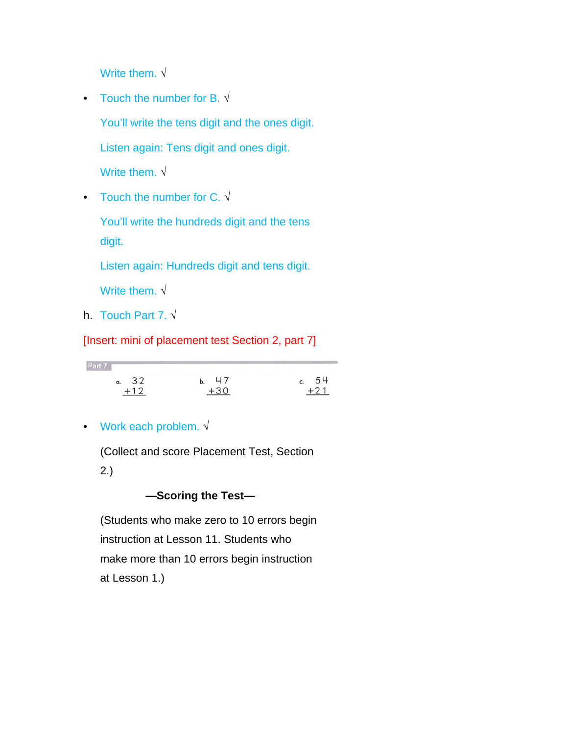Write them.  $\sqrt{}$ 

- Touch the number for B.  $\sqrt{ }$ You'll write the tens digit and the ones digit. Listen again: Tens digit and ones digit. Write them. √
- Touch the number for C. √

You'll write the hundreds digit and the tens digit.

Listen again: Hundreds digit and tens digit.

Write them. √

h. Touch Part 7. √

[Insert: mini of placement test Section 2, part 7]

| PAT |          |    |    |  |
|-----|----------|----|----|--|
|     | $\alpha$ | 32 | 47 |  |
|     |          |    |    |  |

• Work each problem. √

 (Collect and score Placement Test, Section 2.)

#### **—Scoring the Test—**

 (Students who make zero to 10 errors begin instruction at Lesson 11. Students who make more than 10 errors begin instruction at Lesson 1.)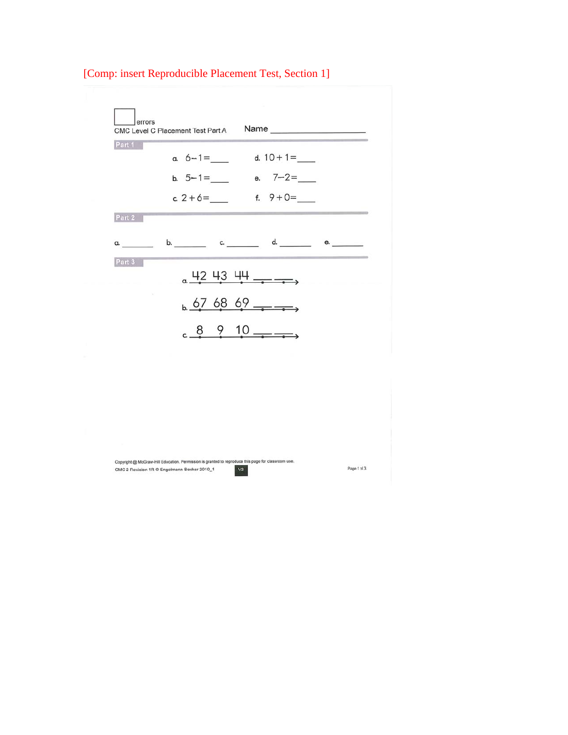| Part 1     |              |               |  |
|------------|--------------|---------------|--|
|            | a. $6-1=$    | d. $10 + 1 =$ |  |
|            | b. $5 - 1 =$ | e. $7 - 2 =$  |  |
|            | c. $2 + 6 =$ | f. $9 + 0 =$  |  |
| Part 2     |              |               |  |
| $\alpha$ . | b. c. d.     | e.            |  |
| Part 3     |              |               |  |
|            | $42 + 3 + 4$ |               |  |
|            | 676869       |               |  |
|            |              |               |  |
|            | $8910$ — — . |               |  |

 $|v_2|$ 

# [Comp: insert Reproducible Placement Test, Section 1]

Copyright @ McGraw-Hill Education. Permission is granted to reproduce this page for classroom use. CMC 2 Revision 1R @ Engelmann-Becker 2010\_1

Page 1 of 3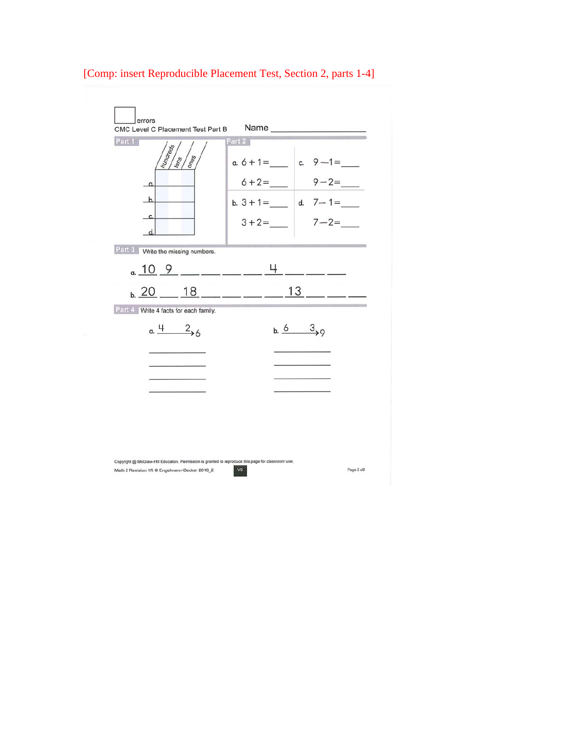

#### [Comp: insert Reproducible Placement Test, Section 2, parts 1-4]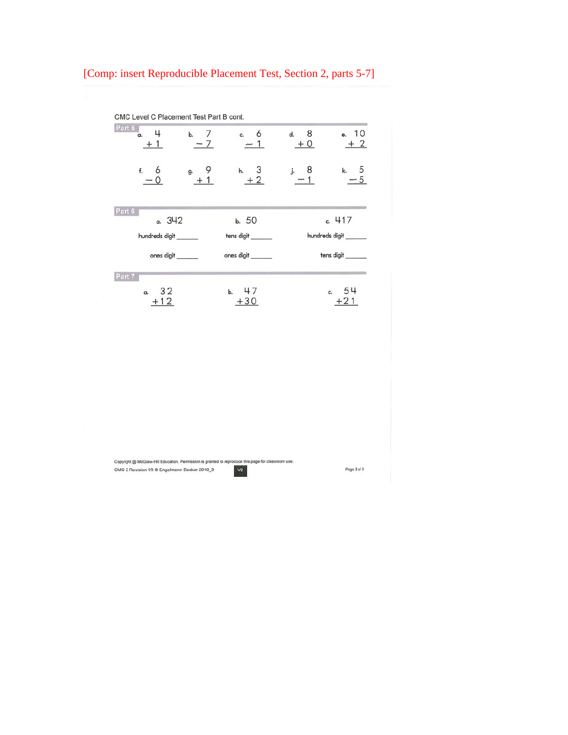# [Comp: insert Reproducible Placement Test, Section 2, parts 5-7]

| Part 5<br>4<br>a. | b. 7<br>$-7$ | 6<br>c.    | 8<br>d.<br>$+0$ | 10<br>e.<br>$+2$    |
|-------------------|--------------|------------|-----------------|---------------------|
| f.<br>6           | g.           | h.<br>$+2$ | j. 8            | $\frac{5}{5}$<br>k. |
| Part 6<br>a. 342  |              | b. 50      |                 | c. 417              |
| hundreds digit    |              | tens digit |                 | hundreds digit      |
| ones digit        |              | ones digit |                 | tens digit          |
| Part 7            |              |            |                 |                     |
| 32<br>a.          |              | 47<br>b.   |                 | 54<br>c.            |
| $+12$             |              | $+30$      |                 | $+21$               |

 $|v_2|$ 

Copyright @ McGraw-Hill Education. Permission is granted to reproduce this page for classroom use. CMC 2 Revision 1R  $\otimes$  Engelmann-Becker 2010\_3

Page 3 of 3